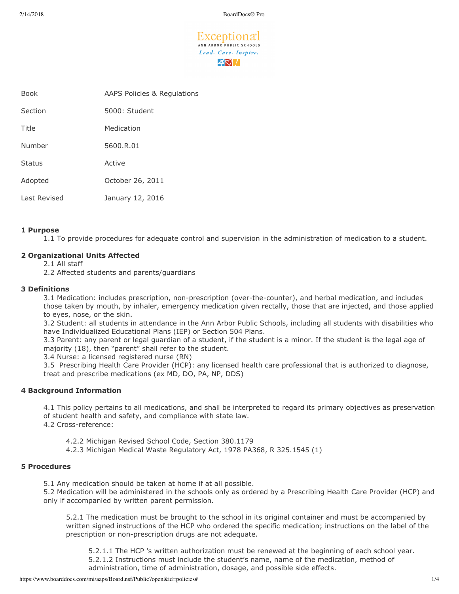Exceptiona<sup>+</sup> ANN ARBOR PUBLIC SCHOOLS Lead. Care. Inspire.  $40/$ 

| Book          | AAPS Policies & Regulations |
|---------------|-----------------------------|
| Section       | 5000: Student               |
| Title         | Medication                  |
| Number        | 5600.R.01                   |
| <b>Status</b> | Active                      |
| Adopted       | October 26, 2011            |
| Last Revised  | January 12, 2016            |

### **1 Purpose**

1.1 To provide procedures for adequate control and supervision in the administration of medication to a student.

## **2 Organizational Units Affected**

2.1 All staff

2.2 Affected students and parents/guardians

### **3 Definitions**

3.1 Medication: includes prescription, non-prescription (over-the-counter), and herbal medication, and includes those taken by mouth, by inhaler, emergency medication given rectally, those that are injected, and those applied to eyes, nose, or the skin.

3.2 Student: all students in attendance in the Ann Arbor Public Schools, including all students with disabilities who have Individualized Educational Plans (IEP) or Section 504 Plans.

3.3 Parent: any parent or legal guardian of a student, if the student is a minor. If the student is the legal age of majority (18), then "parent" shall refer to the student.

3.4 Nurse: a licensed registered nurse (RN)

3.5 Prescribing Health Care Provider (HCP): any licensed health care professional that is authorized to diagnose, treat and prescribe medications (ex MD, DO, PA, NP, DDS)

### **4 Background Information**

4.1 This policy pertains to all medications, and shall be interpreted to regard its primary objectives as preservation of student health and safety, and compliance with state law. 4.2 Crossreference:

4.2.2 Michigan Revised School Code, Section 380.1179

4.2.3 Michigan Medical Waste Regulatory Act, 1978 PA368, R 325.1545 (1)

### **5 Procedures**

5.1 Any medication should be taken at home if at all possible.

5.2 Medication will be administered in the schools only as ordered by a Prescribing Health Care Provider (HCP) and only if accompanied by written parent permission.

5.2.1 The medication must be brought to the school in its original container and must be accompanied by written signed instructions of the HCP who ordered the specific medication; instructions on the label of the prescription or non-prescription drugs are not adequate.

5.2.1.1 The HCP 's written authorization must be renewed at the beginning of each school year. 5.2.1.2 Instructions must include the student's name, name of the medication, method of administration, time of administration, dosage, and possible side effects.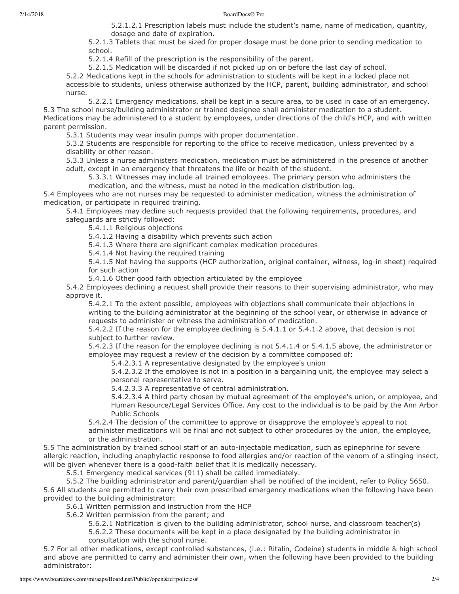#### 2/14/2018 BoardDocs® Pro

5.2.1.2.1 Prescription labels must include the student's name, name of medication, quantity, dosage and date of expiration.

5.2.1.3 Tablets that must be sized for proper dosage must be done prior to sending medication to school.

5.2.1.4 Refill of the prescription is the responsibility of the parent.

5.2.1.5 Medication will be discarded if not picked up on or before the last day of school.

5.2.2 Medications kept in the schools for administration to students will be kept in a locked place not accessible to students, unless otherwise authorized by the HCP, parent, building administrator, and school nurse.

5.2.2.1 Emergency medications, shall be kept in a secure area, to be used in case of an emergency. 5.3 The school nurse/building administrator or trained designee shall administer medication to a student. Medications may be administered to a student by employees, under directions of the child's HCP, and with written parent permission.

5.3.1 Students may wear insulin pumps with proper documentation.

5.3.2 Students are responsible for reporting to the office to receive medication, unless prevented by a disability or other reason.

5.3.3 Unless a nurse administers medication, medication must be administered in the presence of another adult, except in an emergency that threatens the life or health of the student.

5.3.3.1 Witnesses may include all trained employees. The primary person who administers the medication, and the witness, must be noted in the medication distribution log.

5.4 Employees who are not nurses may be requested to administer medication, witness the administration of medication, or participate in required training.

5.4.1 Employees may decline such requests provided that the following requirements, procedures, and safeguards are strictly followed:

5.4.1.1 Religious objections

5.4.1.2 Having a disability which prevents such action

5.4.1.3 Where there are significant complex medication procedures

5.4.1.4 Not having the required training

5.4.1.5 Not having the supports (HCP authorization, original container, witness, log-in sheet) required for such action

5.4.1.6 Other good faith objection articulated by the employee

5.4.2 Employees declining a request shall provide their reasons to their supervising administrator, who may approve it.

5.4.2.1 To the extent possible, employees with objections shall communicate their objections in writing to the building administrator at the beginning of the school year, or otherwise in advance of requests to administer or witness the administration of medication.

5.4.2.2 If the reason for the employee declining is 5.4.1.1 or 5.4.1.2 above, that decision is not subject to further review.

5.4.2.3 If the reason for the employee declining is not 5.4.1.4 or 5.4.1.5 above, the administrator or employee may request a review of the decision by a committee composed of:

5.4.2.3.1 A representative designated by the employee's union

5.4.2.3.2 If the employee is not in a position in a bargaining unit, the employee may select a personal representative to serve.

5.4.2.3.3 A representative of central administration.

5.4.2.3.4 A third party chosen by mutual agreement of the employee's union, or employee, and Human Resource/Legal Services Office. Any cost to the individual is to be paid by the Ann Arbor Public Schools

5.4.2.4 The decision of the committee to approve or disapprove the employee's appeal to not

administer medications will be final and not subject to other procedures by the union, the employee, or the administration.

5.5 The administration by trained school staff of an auto-injectable medication, such as epinephrine for severe allergic reaction, including anaphylactic response to food allergies and/or reaction of the venom of a stinging insect, will be given whenever there is a good-faith belief that it is medically necessary.

5.5.1 Emergency medical services (911) shall be called immediately.

5.5.2 The building administrator and parent/guardian shall be notified of the incident, refer to Policy 5650. 5.6 All students are permitted to carry their own prescribed emergency medications when the following have been provided to the building administrator:

5.6.1 Written permission and instruction from the HCP

5.6.2 Written permission from the parent; and

5.6.2.1 Notification is given to the building administrator, school nurse, and classroom teacher(s) 5.6.2.2 These documents will be kept in a place designated by the building administrator in consultation with the school nurse.

5.7 For all other medications, except controlled substances, (i.e.: Ritalin, Codeine) students in middle & high school and above are permitted to carry and administer their own, when the following have been provided to the building administrator: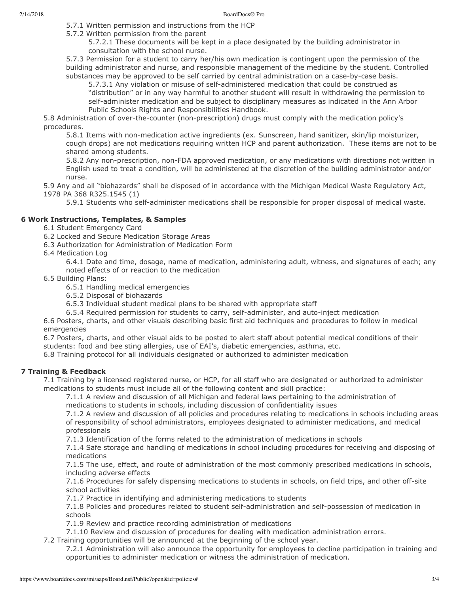5.7.1 Written permission and instructions from the HCP

5.7.2 Written permission from the parent

5.7.2.1 These documents will be kept in a place designated by the building administrator in consultation with the school nurse.

5.7.3 Permission for a student to carry her/his own medication is contingent upon the permission of the building administrator and nurse, and responsible management of the medicine by the student. Controlled substances may be approved to be self carried by central administration on a case-by-case basis.

5.7.3.1 Any violation or misuse of self-administered medication that could be construed as "distribution" or in any way harmful to another student will result in withdrawing the permission to self-administer medication and be subject to disciplinary measures as indicated in the Ann Arbor Public Schools Rights and Responsibilities Handbook.

5.8 Administration of over-the-counter (non-prescription) drugs must comply with the medication policy's procedures.

5.8.1 Items with non-medication active ingredients (ex. Sunscreen, hand sanitizer, skin/lip moisturizer, cough drops) are not medications requiring written HCP and parent authorization. These items are not to be shared among students.

5.8.2 Any non-prescription, non-FDA approved medication, or any medications with directions not written in English used to treat a condition, will be administered at the discretion of the building administrator and/or nurse.

5.9 Any and all "biohazards" shall be disposed of in accordance with the Michigan Medical Waste Regulatory Act, 1978 PA 368 R325.1545 (1)

5.9.1 Students who self-administer medications shall be responsible for proper disposal of medical waste.

### **6 Work Instructions, Templates, & Samples**

- 6.1 Student Emergency Card
- 6.2 Locked and Secure Medication Storage Areas
- 6.3 Authorization for Administration of Medication Form
- 6.4 Medication Log

6.4.1 Date and time, dosage, name of medication, administering adult, witness, and signatures of each; any noted effects of or reaction to the medication

- 6.5 Building Plans:
	- 6.5.1 Handling medical emergencies
	- 6.5.2 Disposal of biohazards
	- 6.5.3 Individual student medical plans to be shared with appropriate staff
	- 6.5.4 Required permission for students to carry, self-administer, and auto-inject medication

6.6 Posters, charts, and other visuals describing basic first aid techniques and procedures to follow in medical emergencies

6.7 Posters, charts, and other visual aids to be posted to alert staff about potential medical conditions of their students: food and bee sting allergies, use of EAI's, diabetic emergencies, asthma, etc.

6.8 Training protocol for all individuals designated or authorized to administer medication

# **7 Training & Feedback**

7.1 Training by a licensed registered nurse, or HCP, for all staff who are designated or authorized to administer medications to students must include all of the following content and skill practice:

7.1.1 A review and discussion of all Michigan and federal laws pertaining to the administration of medications to students in schools, including discussion of confidentiality issues

7.1.2 A review and discussion of all policies and procedures relating to medications in schools including areas of responsibility of school administrators, employees designated to administer medications, and medical professionals

7.1.3 Identification of the forms related to the administration of medications in schools

7.1.4 Safe storage and handling of medications in school including procedures for receiving and disposing of medications

7.1.5 The use, effect, and route of administration of the most commonly prescribed medications in schools, including adverse effects

7.1.6 Procedures for safely dispensing medications to students in schools, on field trips, and other off-site school activities

7.1.7 Practice in identifying and administering medications to students

7.1.8 Policies and procedures related to student self-administration and self-possession of medication in schools

7.1.9 Review and practice recording administration of medications

7.1.10 Review and discussion of procedures for dealing with medication administration errors.

7.2 Training opportunities will be announced at the beginning of the school year.

7.2.1 Administration will also announce the opportunity for employees to decline participation in training and opportunities to administer medication or witness the administration of medication.